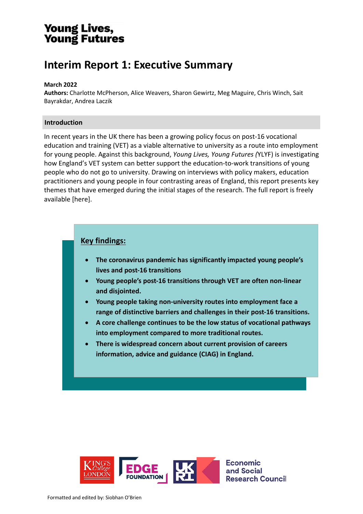# **Young Lives,<br>Young Futures**

# **Interim Report 1: Executive Summary**

#### **March 2022**

**Authors:** Charlotte McPherson, Alice Weavers, Sharon Gewirtz, Meg Maguire, Chris Winch, Sait Bayrakdar, Andrea Laczik

### **Introduction**

In recent years in the UK there has been a growing policy focus on post-16 vocational education and training (VET) as a viable alternative to university as a route into employment for young people. Against this background, *Young Lives, Young Futures (*YLYF) is investigating how England's VET system can better support the education-to-work transitions of young people who do not go to university. Drawing on interviews with policy makers, education practitioners and young people in four contrasting areas of England, this report presents key themes that have emerged during the initial stages of the research. The full report is freely available [here].

# **Key findings:**

- **The coronavirus pandemic has significantly impacted young people's lives and post-16 transitions**
- **Young people's post-16 transitions through VET are often non-linear and disjointed.**
- **Young people taking non-university routes into employment face a range of distinctive barriers and challenges in their post-16 transitions.**
- **A core challenge continues to be the low status of vocational pathways into employment compared to more traditional routes.**
- **There is widespread concern about current provision of careers information, advice and guidance (CIAG) in England.**

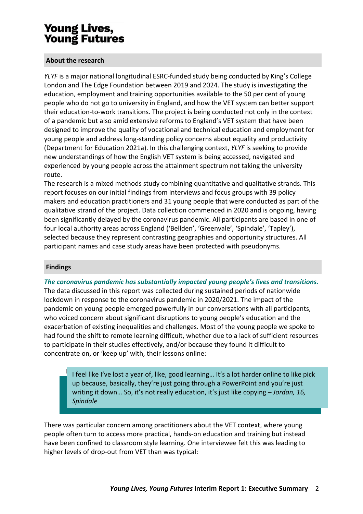# Young Lives, **Young Futures**

## **About the research**

YLYF is a major national longitudinal ESRC-funded study being conducted by King's College London and The Edge Foundation between 2019 and 2024. The study is investigating the education, employment and training opportunities available to the 50 per cent of young people who do not go to university in England, and how the VET system can better support their education-to-work transitions. The project is being conducted not only in the context of a pandemic but also amid extensive reforms to England's VET system that have been designed to improve the quality of vocational and technical education and employment for young people and address long-standing policy concerns about equality and productivity (Department for Education 2021a). In this challenging context, *YLYF* is seeking to provide new understandings of how the English VET system is being accessed, navigated and experienced by young people across the attainment spectrum not taking the university route.

The research is a mixed methods study combining quantitative and qualitative strands. This report focuses on our initial findings from interviews and focus groups with 39 policy makers and education practitioners and 31 young people that were conducted as part of the qualitative strand of the project. Data collection commenced in 2020 and is ongoing, having been significantly delayed by the coronavirus pandemic. All participants are based in one of four local authority areas across England ('Bellden', 'Greenvale', 'Spindale', 'Tapley'), selected because they represent contrasting geographies and opportunity structures. All participant names and case study areas have been protected with pseudonyms.

### **Findings**

*The coronavirus pandemic has substantially impacted young people's lives and transitions.*

The data discussed in this report was collected during sustained periods of nationwide lockdown in response to the coronavirus pandemic in 2020/2021. The impact of the pandemic on young people emerged powerfully in our conversations with all participants, who voiced concern about significant disruptions to young people's education and the exacerbation of existing inequalities and challenges. Most of the young people we spoke to had found the shift to remote learning difficult, whether due to a lack of sufficient resources to participate in their studies effectively, and/or because they found it difficult to concentrate on, or 'keep up' with, their lessons online:

I feel like I've lost a year of, like, good learning... It's a lot harder online to like pick up because, basically, they're just going through a PowerPoint and you're just writing it down... So, it's not really education, it's just like copying – *Jordan, 16, Spindale*

There was particular concern among practitioners about the VET context, where young people often turn to access more practical, hands-on education and training but instead have been confined to classroom style learning. One interviewee felt this was leading to higher levels of drop-out from VET than was typical: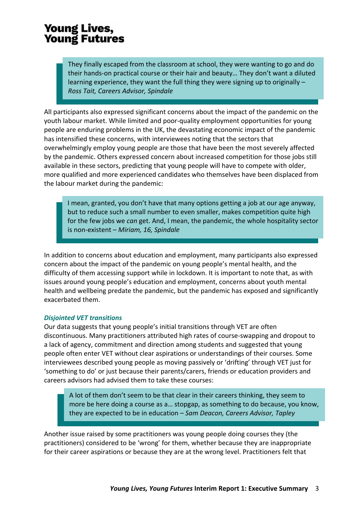# **Young Lives,<br>Young Futures**

They finally escaped from the classroom at school, they were wanting to go and do their hands-on practical course or their hair and beauty… They don't want a diluted their hands-on practical course or their hair and beauty… They don't want a diluted learning experience, they want the full thing they were signing up to originally – *Tait, Careers Advisor, Spindale Ross Tait, Careers Advisor, Spindale*

All participants also expressed significant concerns about the impact of the pandemic on the youth labour market. While limited and poor-quality employment opportunities for young people are enduring problems in the UK, the devastating economic impact of the pandemic has intensified these concerns, with interviewees noting that the sectors that overwhelmingly employ young people are those that have been the most severely affected by the pandemic. Others expressed concern about increased competition for those jobs still available in these sectors, predicting that young people will have to compete with older, more qualified and more experienced candidates who themselves have been displaced from the labour market during the pandemic:

I mean, granted, you don't have that many options getting a job at our age anyway, I mean, granted, you don't have that many options getting a job at our age anyway, but to reduce such a small number to even smaller, makes competition quite high but to reduce such a small number to even smaller, makes competition quite high for the few jobs we *can* get. And, I mean, the pandemic, the whole hospitality sector for the few jobs we *can* get. And, I mean, the pandemic, the whole hospitality sector is non-existent – *Miriam, 16, Spindale* is non-existent – *Miriam, 16, Spindale*

In addition to concerns about education and employment, many participants also expressed concern about the impact of the pandemic on young people's mental health, and the difficulty of them accessing support while in lockdown. It is important to note that, as with issues around young people's education and employment, concerns about youth mental health and wellbeing predate the pandemic, but the pandemic has exposed and significantly exacerbated them.

### *Disjointed VET transitions*

Our data suggests that young people's initial transitions through VET are often discontinuous. Many practitioners attributed high rates of course-swapping and dropout to a lack of agency, commitment and direction among students and suggested that young people often enter VET without clear aspirations or understandings of their courses. Some interviewees described young people as moving passively or 'drifting' through VET just for 'something to do' or just because their parents/carers, friends or education providers and careers advisors had advised them to take these courses:

A lot of them don't seem to be that clear in their careers thinking, they seem to A lot of them don't seem to be that clear in their careers thinking, they seem to more be here doing a course as a… stopgap, as something to do because, you know, more be here doing a course as a… stopgap, as something to do because, you know, they are expected to be in education – *Sam Deacon, Careers Advisor, Tapley*  they are expected to be in education – *Sam Deacon, Careers Advisor, Tapley* 

Another issue raised by some practitioners was young people doing courses they (the practitioners) considered to be 'wrong' for them, whether because they are inappropriate for their career aspirations or because they are at the wrong level. Practitioners felt that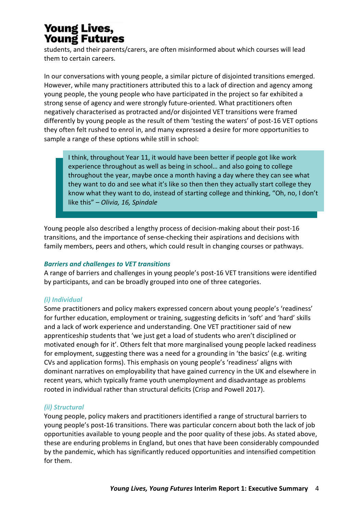# **Young Lives, Young Futures**

students, and their parents/carers, are often misinformed about which courses will lead them to certain careers.

In our conversations with young people, a similar picture of disjointed transitions emerged. However, while many practitioners attributed this to a lack of direction and agency among young people, the young people who have participated in the project so far exhibited a strong sense of agency and were strongly future-oriented. What practitioners often negatively characterised as protracted and/or disjointed VET transitions were framed differently by young people as the result of them 'testing the waters' of post-16 VET options they often felt rushed to enrol in, and many expressed a desire for more opportunities to sample a range of these options while still in school:

I think, throughout Year 11, it would have been better if people got like work I think, throughout Year 11, it would have been better if people got like work experience throughout as well as being in school… and also going to college experience throughout as well as being in school… and also going to college throughout the year, maybe once a month having a day where they can see what throughout the year, maybe once a month having a day where they can see what they want to do and see what it's like so then then they actually start college they they want to do and see what it's like so then then they actually start college they know what they want to do, instead of starting college and thinking, "Oh, no, I don't know what they want to do, instead of starting college and thinking, "Oh, no, I don't like this" – *Olivia, 16, Spindale* like this" – *Olivia, 16, Spindale*

Young people also described a lengthy process of decision-making about their post-16 transitions, and the importance of sense-checking their aspirations and decisions with family members, peers and others, which could result in changing courses or pathways.

# *Barriers and challenges to VET transitions*

A range of barriers and challenges in young people's post-16 VET transitions were identified by participants, and can be broadly grouped into one of three categories.

# *(i) Individual*

Some practitioners and policy makers expressed concern about young people's 'readiness' for further education, employment or training, suggesting deficits in 'soft' and 'hard' skills and a lack of work experience and understanding. One VET practitioner said of new apprenticeship students that 'we just get a load of students who aren't disciplined or motivated enough for it'. Others felt that more marginalised young people lacked readiness for employment, suggesting there was a need for a grounding in 'the basics' (e.g. writing CVs and application forms). This emphasis on young people's 'readiness' aligns with dominant narratives on employability that have gained currency in the UK and elsewhere in recent years, which typically frame youth unemployment and disadvantage as problems rooted in individual rather than structural deficits (Crisp and Powell 2017).

# *(ii) Structural*

Young people, policy makers and practitioners identified a range of structural barriers to young people's post-16 transitions. There was particular concern about both the lack of job opportunities available to young people and the poor quality of these jobs. As stated above, these are enduring problems in England, but ones that have been considerably compounded by the pandemic, which has significantly reduced opportunities and intensified competition for them.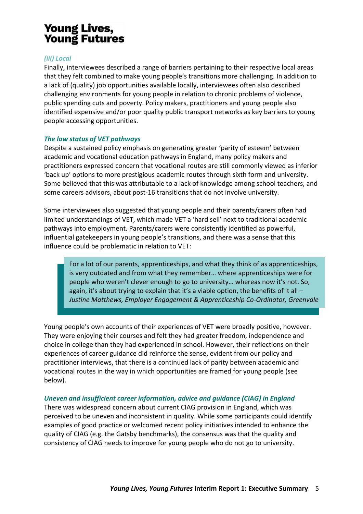# **Young Lives,<br>Young Futures**

## *(iii) Local*

Finally, interviewees described a range of barriers pertaining to their respective local areas that they felt combined to make young people's transitions more challenging. In addition to a lack of (quality) job opportunities available locally, interviewees often also described challenging environments for young people in relation to chronic problems of violence, public spending cuts and poverty. Policy makers, practitioners and young people also identified expensive and/or poor quality public transport networks as key barriers to young people accessing opportunities.

## *The low status of VET pathways*

Despite a sustained policy emphasis on generating greater 'parity of esteem' between academic and vocational education pathways in England, many policy makers and practitioners expressed concern that vocational routes are still commonly viewed as inferior 'back up' options to more prestigious academic routes through sixth form and university. Some believed that this was attributable to a lack of knowledge among school teachers, and some careers advisors, about post-16 transitions that do not involve university.

Some interviewees also suggested that young people and their parents/carers often had limited understandings of VET, which made VET a 'hard sell' next to traditional academic pathways into employment. Parents/carers were consistently identified as powerful, influential gatekeepers in young people's transitions, and there was a sense that this influence could be problematic in relation to VET:

For a lot of our parents, apprenticeships, and what they think of as apprenticeships, For a lot of our parents, apprenticeships, and what they think of as apprenticeships, is very outdated and from what they remember… where apprenticeships were for is very outdated and from what they remember… where apprenticeships were for people who weren't clever enough to go to university… whereas now it's not. So, people who weren't clever enough to go to university… whereas now it's not. So, again, it's about trying to explain that it's a viable option, the benefits of it all -*Justine Matthews, Employer Engagement & Apprenticeship Co-Ordinator, Greenvale Justine Matthews, Employer Engagement & Apprenticeship Co-Ordinator, Greenvale*

Young people's own accounts of their experiences of VET were broadly positive, however. They were enjoying their courses and felt they had greater freedom, independence and choice in college than they had experienced in school. However, their reflections on their experiences of career guidance did reinforce the sense, evident from our policy and practitioner interviews, that there is a continued lack of parity between academic and vocational routes in the way in which opportunities are framed for young people (see below).

### *Uneven and insufficient career information, advice and guidance (CIAG) in England*

There was widespread concern about current CIAG provision in England, which was perceived to be uneven and inconsistent in quality. While some participants could identify examples of good practice or welcomed recent policy initiatives intended to enhance the quality of CIAG (e.g. the Gatsby benchmarks), the consensus was that the quality and consistency of CIAG needs to improve for young people who do not go to university.